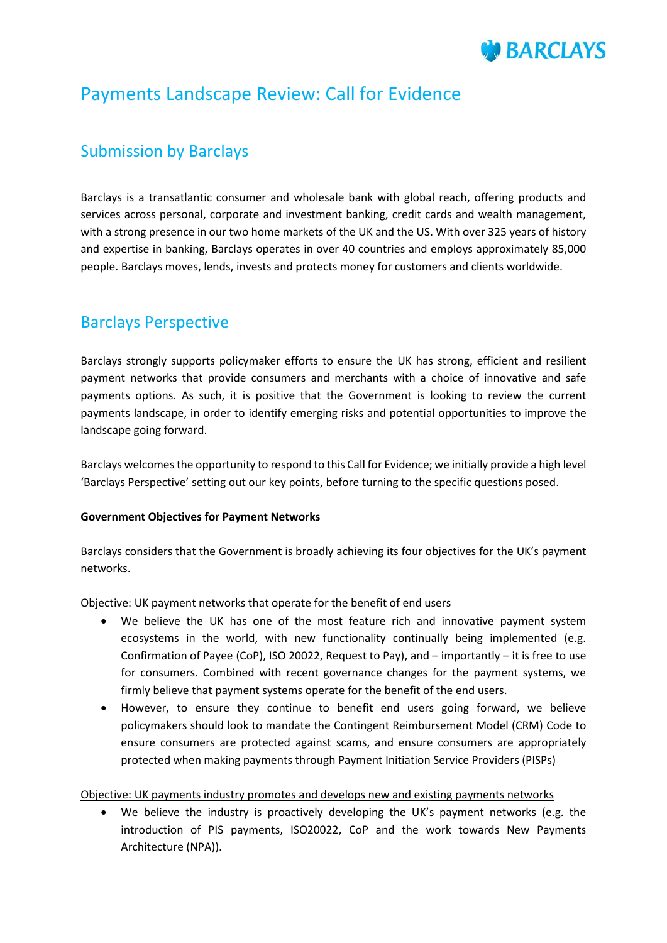# **BARCIAYS**

# Payments Landscape Review: Call for Evidence

# Submission by Barclays

Barclays is a transatlantic consumer and wholesale bank with global reach, offering products and services across personal, corporate and investment banking, credit cards and wealth management, with a strong presence in our two home markets of the UK and the US. With over 325 years of history and expertise in banking, Barclays operates in over 40 countries and employs approximately 85,000 people. Barclays moves, lends, invests and protects money for customers and clients worldwide.

## Barclays Perspective

Barclays strongly supports policymaker efforts to ensure the UK has strong, efficient and resilient payment networks that provide consumers and merchants with a choice of innovative and safe payments options. As such, it is positive that the Government is looking to review the current payments landscape, in order to identify emerging risks and potential opportunities to improve the landscape going forward.

Barclays welcomes the opportunity to respond to this Call for Evidence; we initially provide a high level 'Barclays Perspective' setting out our key points, before turning to the specific questions posed.

## **Government Objectives for Payment Networks**

Barclays considers that the Government is broadly achieving its four objectives for the UK's payment networks.

Objective: UK payment networks that operate for the benefit of end users

- We believe the UK has one of the most feature rich and innovative payment system ecosystems in the world, with new functionality continually being implemented (e.g. Confirmation of Payee (CoP), ISO 20022, Request to Pay), and – importantly – it is free to use for consumers. Combined with recent governance changes for the payment systems, we firmly believe that payment systems operate for the benefit of the end users.
- However, to ensure they continue to benefit end users going forward, we believe policymakers should look to mandate the Contingent Reimbursement Model (CRM) Code to ensure consumers are protected against scams, and ensure consumers are appropriately protected when making payments through Payment Initiation Service Providers (PISPs)

## Objective: UK payments industry promotes and develops new and existing payments networks

 We believe the industry is proactively developing the UK's payment networks (e.g. the introduction of PIS payments, ISO20022, CoP and the work towards New Payments Architecture (NPA)).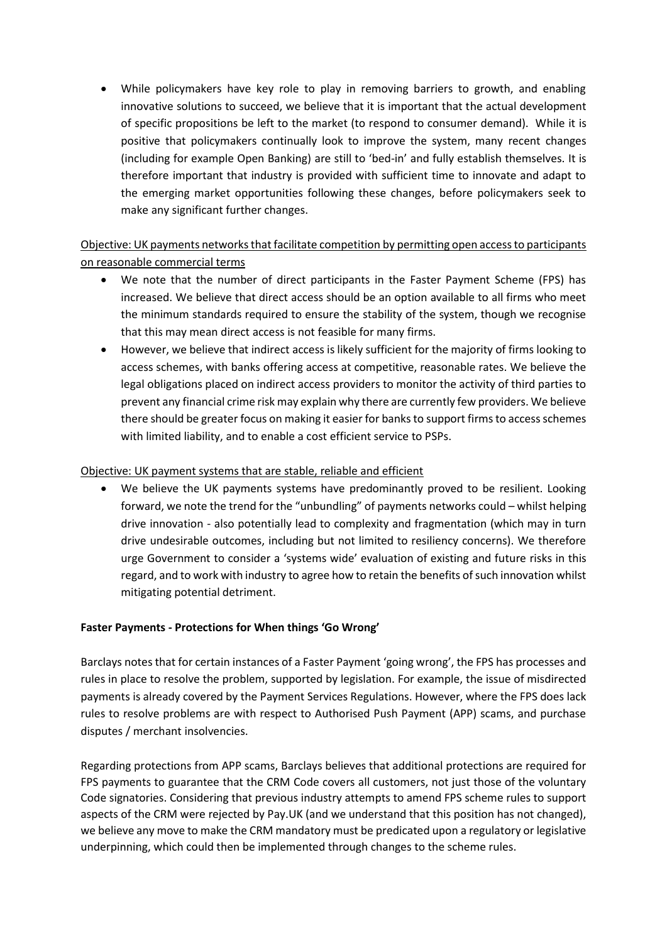While policymakers have key role to play in removing barriers to growth, and enabling innovative solutions to succeed, we believe that it is important that the actual development of specific propositions be left to the market (to respond to consumer demand). While it is positive that policymakers continually look to improve the system, many recent changes (including for example Open Banking) are still to 'bed-in' and fully establish themselves. It is therefore important that industry is provided with sufficient time to innovate and adapt to the emerging market opportunities following these changes, before policymakers seek to make any significant further changes.

## Objective: UK payments networks that facilitate competition by permitting open access to participants on reasonable commercial terms

- We note that the number of direct participants in the Faster Payment Scheme (FPS) has increased. We believe that direct access should be an option available to all firms who meet the minimum standards required to ensure the stability of the system, though we recognise that this may mean direct access is not feasible for many firms.
- However, we believe that indirect access is likely sufficient for the majority of firms looking to access schemes, with banks offering access at competitive, reasonable rates. We believe the legal obligations placed on indirect access providers to monitor the activity of third parties to prevent any financial crime risk may explain why there are currently few providers. We believe there should be greater focus on making it easier for banks to support firms to access schemes with limited liability, and to enable a cost efficient service to PSPs.

## Objective: UK payment systems that are stable, reliable and efficient

 We believe the UK payments systems have predominantly proved to be resilient. Looking forward, we note the trend for the "unbundling" of payments networks could – whilst helping drive innovation - also potentially lead to complexity and fragmentation (which may in turn drive undesirable outcomes, including but not limited to resiliency concerns). We therefore urge Government to consider a 'systems wide' evaluation of existing and future risks in this regard, and to work with industry to agree how to retain the benefits of such innovation whilst mitigating potential detriment.

## **Faster Payments - Protections for When things 'Go Wrong'**

Barclays notes that for certain instances of a Faster Payment 'going wrong', the FPS has processes and rules in place to resolve the problem, supported by legislation. For example, the issue of misdirected payments is already covered by the Payment Services Regulations. However, where the FPS does lack rules to resolve problems are with respect to Authorised Push Payment (APP) scams, and purchase disputes / merchant insolvencies.

Regarding protections from APP scams, Barclays believes that additional protections are required for FPS payments to guarantee that the CRM Code covers all customers, not just those of the voluntary Code signatories. Considering that previous industry attempts to amend FPS scheme rules to support aspects of the CRM were rejected by Pay.UK (and we understand that this position has not changed), we believe any move to make the CRM mandatory must be predicated upon a regulatory or legislative underpinning, which could then be implemented through changes to the scheme rules.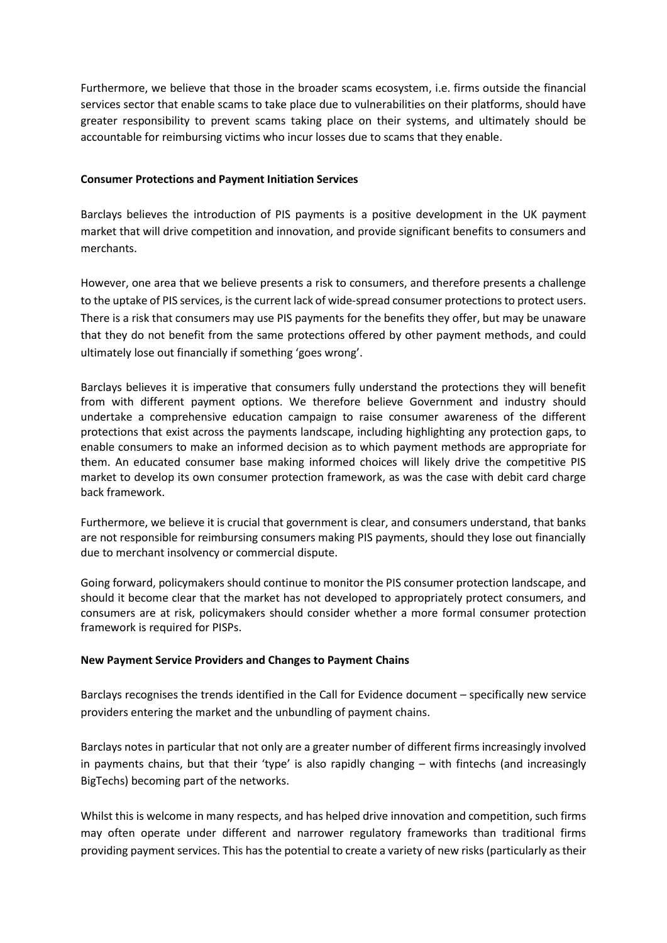Furthermore, we believe that those in the broader scams ecosystem, i.e. firms outside the financial services sector that enable scams to take place due to vulnerabilities on their platforms, should have greater responsibility to prevent scams taking place on their systems, and ultimately should be accountable for reimbursing victims who incur losses due to scams that they enable.

#### **Consumer Protections and Payment Initiation Services**

Barclays believes the introduction of PIS payments is a positive development in the UK payment market that will drive competition and innovation, and provide significant benefits to consumers and merchants.

However, one area that we believe presents a risk to consumers, and therefore presents a challenge to the uptake of PIS services, is the current lack of wide-spread consumer protections to protect users. There is a risk that consumers may use PIS payments for the benefits they offer, but may be unaware that they do not benefit from the same protections offered by other payment methods, and could ultimately lose out financially if something 'goes wrong'.

Barclays believes it is imperative that consumers fully understand the protections they will benefit from with different payment options. We therefore believe Government and industry should undertake a comprehensive education campaign to raise consumer awareness of the different protections that exist across the payments landscape, including highlighting any protection gaps, to enable consumers to make an informed decision as to which payment methods are appropriate for them. An educated consumer base making informed choices will likely drive the competitive PIS market to develop its own consumer protection framework, as was the case with debit card charge back framework.

Furthermore, we believe it is crucial that government is clear, and consumers understand, that banks are not responsible for reimbursing consumers making PIS payments, should they lose out financially due to merchant insolvency or commercial dispute.

Going forward, policymakers should continue to monitor the PIS consumer protection landscape, and should it become clear that the market has not developed to appropriately protect consumers, and consumers are at risk, policymakers should consider whether a more formal consumer protection framework is required for PISPs.

#### **New Payment Service Providers and Changes to Payment Chains**

Barclays recognises the trends identified in the Call for Evidence document – specifically new service providers entering the market and the unbundling of payment chains.

Barclays notes in particular that not only are a greater number of different firms increasingly involved in payments chains, but that their 'type' is also rapidly changing – with fintechs (and increasingly BigTechs) becoming part of the networks.

Whilst this is welcome in many respects, and has helped drive innovation and competition, such firms may often operate under different and narrower regulatory frameworks than traditional firms providing payment services. This has the potential to create a variety of new risks (particularly as their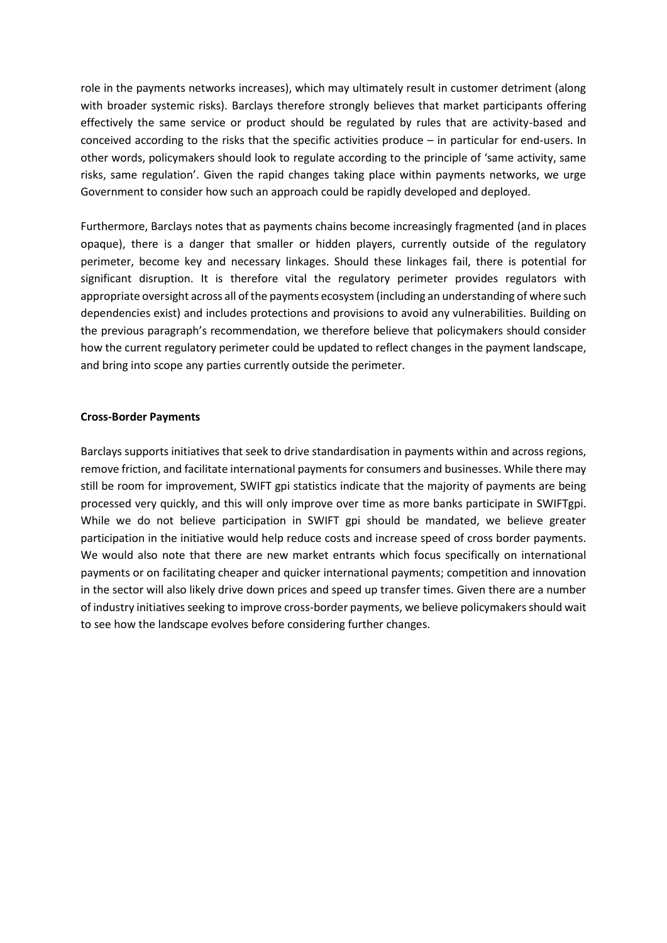role in the payments networks increases), which may ultimately result in customer detriment (along with broader systemic risks). Barclays therefore strongly believes that market participants offering effectively the same service or product should be regulated by rules that are activity-based and conceived according to the risks that the specific activities produce – in particular for end-users. In other words, policymakers should look to regulate according to the principle of 'same activity, same risks, same regulation'. Given the rapid changes taking place within payments networks, we urge Government to consider how such an approach could be rapidly developed and deployed.

Furthermore, Barclays notes that as payments chains become increasingly fragmented (and in places opaque), there is a danger that smaller or hidden players, currently outside of the regulatory perimeter, become key and necessary linkages. Should these linkages fail, there is potential for significant disruption. It is therefore vital the regulatory perimeter provides regulators with appropriate oversight across all of the payments ecosystem (including an understanding of where such dependencies exist) and includes protections and provisions to avoid any vulnerabilities. Building on the previous paragraph's recommendation, we therefore believe that policymakers should consider how the current regulatory perimeter could be updated to reflect changes in the payment landscape, and bring into scope any parties currently outside the perimeter.

#### **Cross-Border Payments**

Barclays supports initiatives that seek to drive standardisation in payments within and across regions, remove friction, and facilitate international payments for consumers and businesses. While there may still be room for improvement, SWIFT gpi statistics indicate that the majority of payments are being processed very quickly, and this will only improve over time as more banks participate in SWIFTgpi. While we do not believe participation in SWIFT gpi should be mandated, we believe greater participation in the initiative would help reduce costs and increase speed of cross border payments. We would also note that there are new market entrants which focus specifically on international payments or on facilitating cheaper and quicker international payments; competition and innovation in the sector will also likely drive down prices and speed up transfer times. Given there are a number of industry initiatives seeking to improve cross-border payments, we believe policymakers should wait to see how the landscape evolves before considering further changes.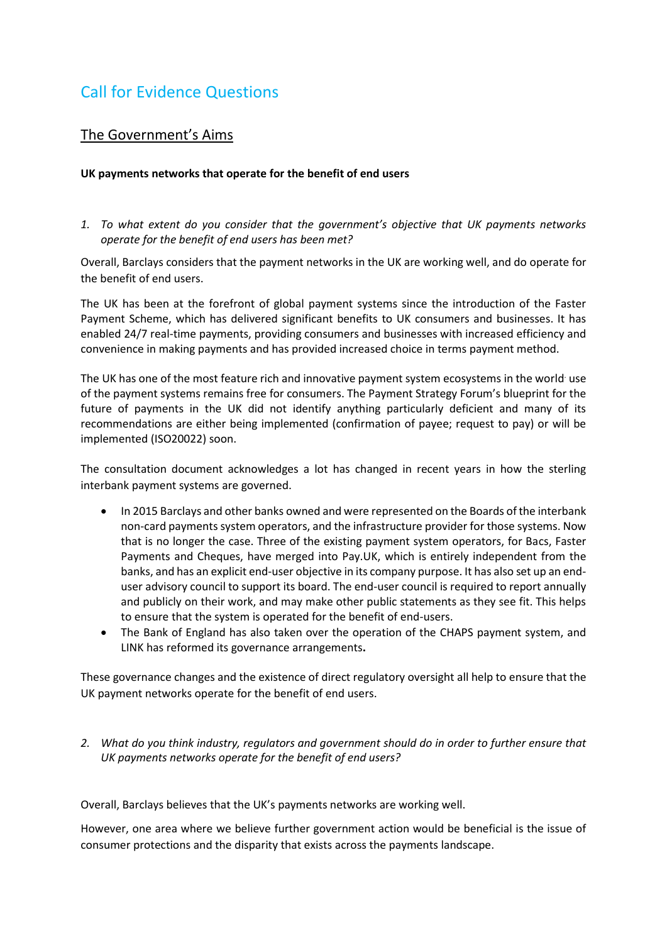# Call for Evidence Questions

## The Government's Aims

#### **UK payments networks that operate for the benefit of end users**

*1. To what extent do you consider that the government's objective that UK payments networks operate for the benefit of end users has been met?* 

Overall, Barclays considers that the payment networks in the UK are working well, and do operate for the benefit of end users.

The UK has been at the forefront of global payment systems since the introduction of the Faster Payment Scheme, which has delivered significant benefits to UK consumers and businesses. It has enabled 24/7 real-time payments, providing consumers and businesses with increased efficiency and convenience in making payments and has provided increased choice in terms payment method.

The UK has one of the most feature rich and innovative payment system ecosystems in the world use of the payment systems remains free for consumers. The Payment Strategy Forum's blueprint for the future of payments in the UK did not identify anything particularly deficient and many of its recommendations are either being implemented (confirmation of payee; request to pay) or will be implemented (ISO20022) soon.

The consultation document acknowledges a lot has changed in recent years in how the sterling interbank payment systems are governed.

- In 2015 Barclays and other banks owned and were represented on the Boards of the interbank non-card payments system operators, and the infrastructure provider for those systems. Now that is no longer the case. Three of the existing payment system operators, for Bacs, Faster Payments and Cheques, have merged into Pay.UK, which is entirely independent from the banks, and has an explicit end-user objective in its company purpose. It has also set up an enduser advisory council to support its board. The end-user council is required to report annually and publicly on their work, and may make other public statements as they see fit. This helps to ensure that the system is operated for the benefit of end-users.
- The Bank of England has also taken over the operation of the CHAPS payment system, and LINK has reformed its governance arrangements**.**

These governance changes and the existence of direct regulatory oversight all help to ensure that the UK payment networks operate for the benefit of end users.

*2. What do you think industry, regulators and government should do in order to further ensure that UK payments networks operate for the benefit of end users?* 

Overall, Barclays believes that the UK's payments networks are working well.

However, one area where we believe further government action would be beneficial is the issue of consumer protections and the disparity that exists across the payments landscape.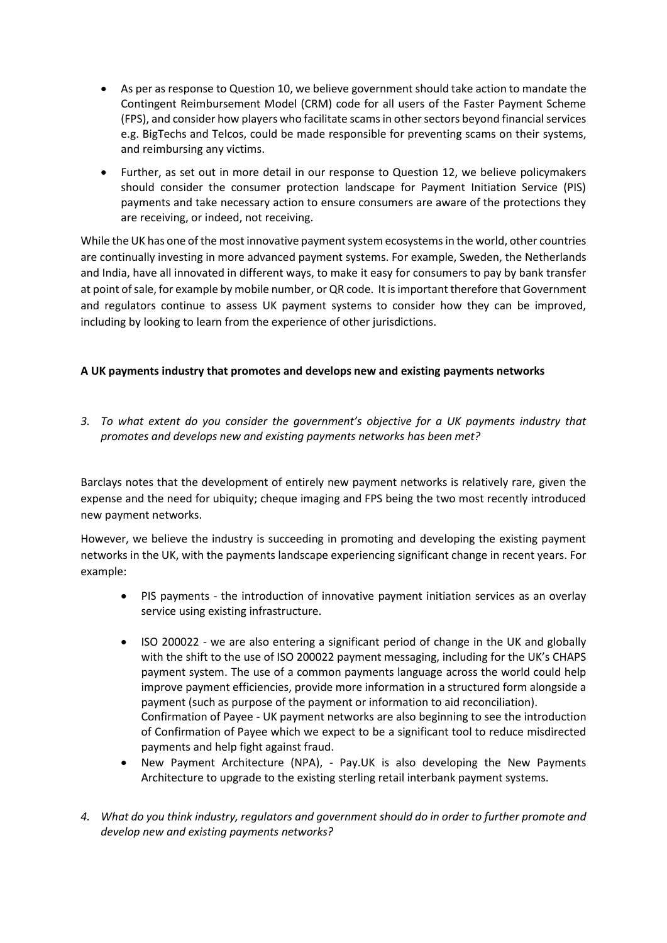- As per as response to Question 10, we believe government should take action to mandate the Contingent Reimbursement Model (CRM) code for all users of the Faster Payment Scheme (FPS), and consider how players who facilitate scams in other sectors beyond financial services e.g. BigTechs and Telcos, could be made responsible for preventing scams on their systems, and reimbursing any victims.
- Further, as set out in more detail in our response to Question 12, we believe policymakers should consider the consumer protection landscape for Payment Initiation Service (PIS) payments and take necessary action to ensure consumers are aware of the protections they are receiving, or indeed, not receiving.

While the UK has one of the most innovative payment system ecosystems in the world, other countries are continually investing in more advanced payment systems. For example, Sweden, the Netherlands and India, have all innovated in different ways, to make it easy for consumers to pay by bank transfer at point of sale, for example by mobile number, or QR code. It is important therefore that Government and regulators continue to assess UK payment systems to consider how they can be improved, including by looking to learn from the experience of other jurisdictions.

## **A UK payments industry that promotes and develops new and existing payments networks**

*3. To what extent do you consider the government's objective for a UK payments industry that promotes and develops new and existing payments networks has been met?* 

Barclays notes that the development of entirely new payment networks is relatively rare, given the expense and the need for ubiquity; cheque imaging and FPS being the two most recently introduced new payment networks.

However, we believe the industry is succeeding in promoting and developing the existing payment networks in the UK, with the payments landscape experiencing significant change in recent years. For example:

- PIS payments the introduction of innovative payment initiation services as an overlay service using existing infrastructure.
- ISO 200022 we are also entering a significant period of change in the UK and globally with the shift to the use of ISO 200022 payment messaging, including for the UK's CHAPS payment system. The use of a common payments language across the world could help improve payment efficiencies, provide more information in a structured form alongside a payment (such as purpose of the payment or information to aid reconciliation). Confirmation of Payee - UK payment networks are also beginning to see the introduction of Confirmation of Payee which we expect to be a significant tool to reduce misdirected payments and help fight against fraud.
- New Payment Architecture (NPA), Pay.UK is also developing the New Payments Architecture to upgrade to the existing sterling retail interbank payment systems.
- *4. What do you think industry, regulators and government should do in order to further promote and develop new and existing payments networks?*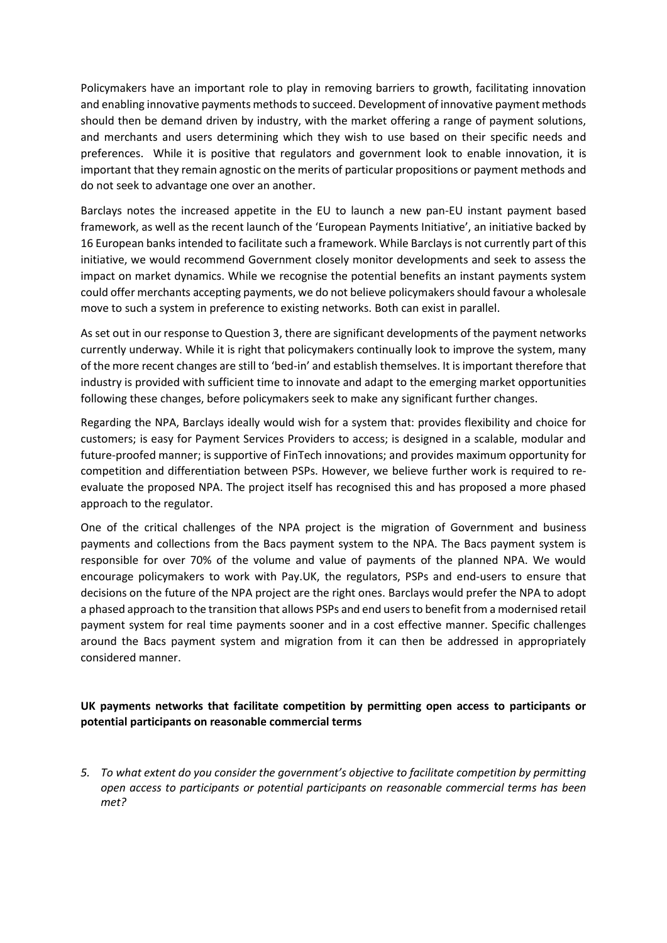Policymakers have an important role to play in removing barriers to growth, facilitating innovation and enabling innovative payments methods to succeed. Development of innovative payment methods should then be demand driven by industry, with the market offering a range of payment solutions, and merchants and users determining which they wish to use based on their specific needs and preferences. While it is positive that regulators and government look to enable innovation, it is important that they remain agnostic on the merits of particular propositions or payment methods and do not seek to advantage one over an another.

Barclays notes the increased appetite in the EU to launch a new pan-EU instant payment based framework, as well as the recent launch of the 'European Payments Initiative', an initiative backed by 16 European banks intended to facilitate such a framework. While Barclays is not currently part of this initiative, we would recommend Government closely monitor developments and seek to assess the impact on market dynamics. While we recognise the potential benefits an instant payments system could offer merchants accepting payments, we do not believe policymakers should favour a wholesale move to such a system in preference to existing networks. Both can exist in parallel.

As set out in our response to Question 3, there are significant developments of the payment networks currently underway. While it is right that policymakers continually look to improve the system, many of the more recent changes are still to 'bed-in' and establish themselves. It is important therefore that industry is provided with sufficient time to innovate and adapt to the emerging market opportunities following these changes, before policymakers seek to make any significant further changes.

Regarding the NPA, Barclays ideally would wish for a system that: provides flexibility and choice for customers; is easy for Payment Services Providers to access; is designed in a scalable, modular and future-proofed manner; is supportive of FinTech innovations; and provides maximum opportunity for competition and differentiation between PSPs. However, we believe further work is required to reevaluate the proposed NPA. The project itself has recognised this and has proposed a more phased approach to the regulator.

One of the critical challenges of the NPA project is the migration of Government and business payments and collections from the Bacs payment system to the NPA. The Bacs payment system is responsible for over 70% of the volume and value of payments of the planned NPA. We would encourage policymakers to work with Pay.UK, the regulators, PSPs and end-users to ensure that decisions on the future of the NPA project are the right ones. Barclays would prefer the NPA to adopt a phased approach to the transition that allows PSPs and end users to benefit from a modernised retail payment system for real time payments sooner and in a cost effective manner. Specific challenges around the Bacs payment system and migration from it can then be addressed in appropriately considered manner.

## **UK payments networks that facilitate competition by permitting open access to participants or potential participants on reasonable commercial terms**

*5. To what extent do you consider the government's objective to facilitate competition by permitting open access to participants or potential participants on reasonable commercial terms has been met?*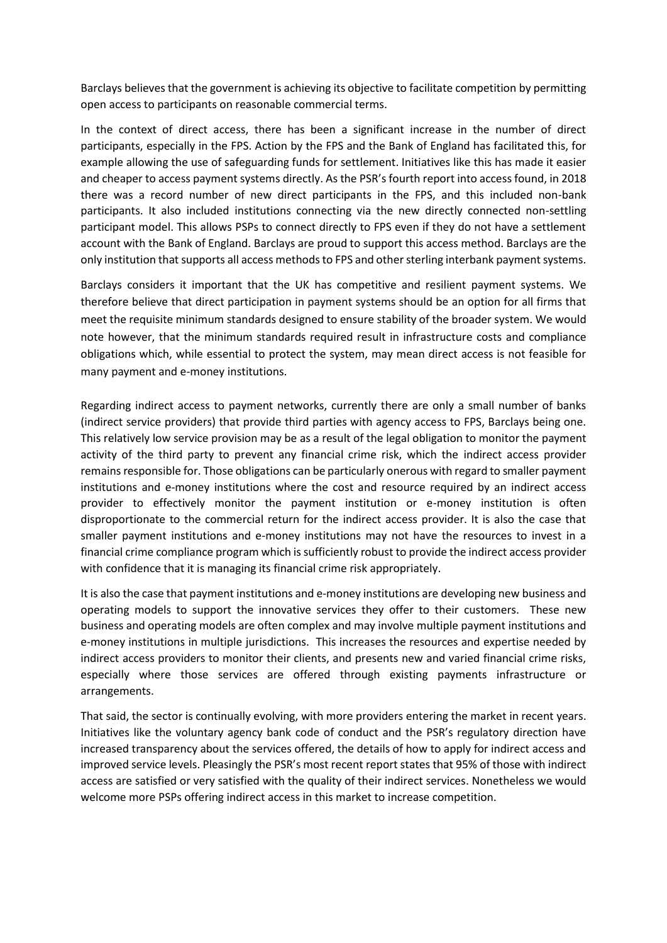Barclays believes that the government is achieving its objective to facilitate competition by permitting open access to participants on reasonable commercial terms.

In the context of direct access, there has been a significant increase in the number of direct participants, especially in the FPS. Action by the FPS and the Bank of England has facilitated this, for example allowing the use of safeguarding funds for settlement. Initiatives like this has made it easier and cheaper to access payment systems directly. As the PSR's fourth report into access found, in 2018 there was a record number of new direct participants in the FPS, and this included non-bank participants. It also included institutions connecting via the new directly connected non-settling participant model. This allows PSPs to connect directly to FPS even if they do not have a settlement account with the Bank of England. Barclays are proud to support this access method. Barclays are the only institution that supports all access methods to FPS and other sterling interbank payment systems.

Barclays considers it important that the UK has competitive and resilient payment systems. We therefore believe that direct participation in payment systems should be an option for all firms that meet the requisite minimum standards designed to ensure stability of the broader system. We would note however, that the minimum standards required result in infrastructure costs and compliance obligations which, while essential to protect the system, may mean direct access is not feasible for many payment and e-money institutions.

Regarding indirect access to payment networks, currently there are only a small number of banks (indirect service providers) that provide third parties with agency access to FPS, Barclays being one. This relatively low service provision may be as a result of the legal obligation to monitor the payment activity of the third party to prevent any financial crime risk, which the indirect access provider remains responsible for. Those obligations can be particularly onerous with regard to smaller payment institutions and e-money institutions where the cost and resource required by an indirect access provider to effectively monitor the payment institution or e-money institution is often disproportionate to the commercial return for the indirect access provider. It is also the case that smaller payment institutions and e-money institutions may not have the resources to invest in a financial crime compliance program which is sufficiently robust to provide the indirect access provider with confidence that it is managing its financial crime risk appropriately.

It is also the case that payment institutions and e-money institutions are developing new business and operating models to support the innovative services they offer to their customers. These new business and operating models are often complex and may involve multiple payment institutions and e-money institutions in multiple jurisdictions. This increases the resources and expertise needed by indirect access providers to monitor their clients, and presents new and varied financial crime risks, especially where those services are offered through existing payments infrastructure or arrangements.

That said, the sector is continually evolving, with more providers entering the market in recent years. Initiatives like the voluntary agency bank code of conduct and the PSR's regulatory direction have increased transparency about the services offered, the details of how to apply for indirect access and improved service levels. Pleasingly the PSR's most recent report states that 95% of those with indirect access are satisfied or very satisfied with the quality of their indirect services. Nonetheless we would welcome more PSPs offering indirect access in this market to increase competition.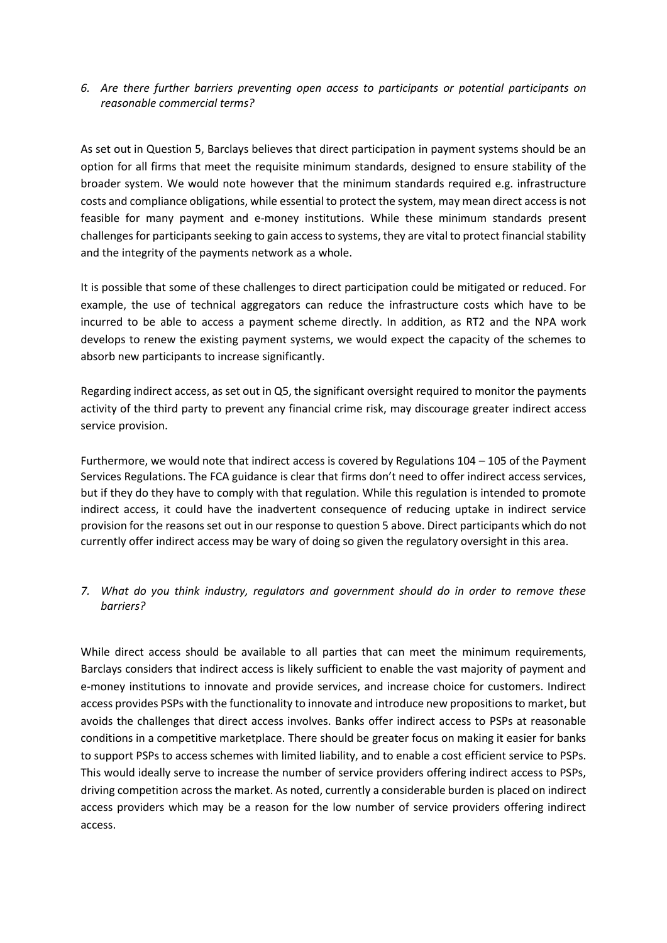*6. Are there further barriers preventing open access to participants or potential participants on reasonable commercial terms?* 

As set out in Question 5, Barclays believes that direct participation in payment systems should be an option for all firms that meet the requisite minimum standards, designed to ensure stability of the broader system. We would note however that the minimum standards required e.g. infrastructure costs and compliance obligations, while essential to protect the system, may mean direct access is not feasible for many payment and e-money institutions. While these minimum standards present challenges for participants seeking to gain access to systems, they are vital to protect financial stability and the integrity of the payments network as a whole.

It is possible that some of these challenges to direct participation could be mitigated or reduced. For example, the use of technical aggregators can reduce the infrastructure costs which have to be incurred to be able to access a payment scheme directly. In addition, as RT2 and the NPA work develops to renew the existing payment systems, we would expect the capacity of the schemes to absorb new participants to increase significantly.

Regarding indirect access, as set out in Q5, the significant oversight required to monitor the payments activity of the third party to prevent any financial crime risk, may discourage greater indirect access service provision.

Furthermore, we would note that indirect access is covered by Regulations 104 – 105 of the Payment Services Regulations. The FCA guidance is clear that firms don't need to offer indirect access services, but if they do they have to comply with that regulation. While this regulation is intended to promote indirect access, it could have the inadvertent consequence of reducing uptake in indirect service provision for the reasons set out in our response to question 5 above. Direct participants which do not currently offer indirect access may be wary of doing so given the regulatory oversight in this area.

## *7. What do you think industry, regulators and government should do in order to remove these barriers?*

While direct access should be available to all parties that can meet the minimum requirements, Barclays considers that indirect access is likely sufficient to enable the vast majority of payment and e-money institutions to innovate and provide services, and increase choice for customers. Indirect access provides PSPs with the functionality to innovate and introduce new propositions to market, but avoids the challenges that direct access involves. Banks offer indirect access to PSPs at reasonable conditions in a competitive marketplace. There should be greater focus on making it easier for banks to support PSPs to access schemes with limited liability, and to enable a cost efficient service to PSPs. This would ideally serve to increase the number of service providers offering indirect access to PSPs, driving competition across the market. As noted, currently a considerable burden is placed on indirect access providers which may be a reason for the low number of service providers offering indirect access.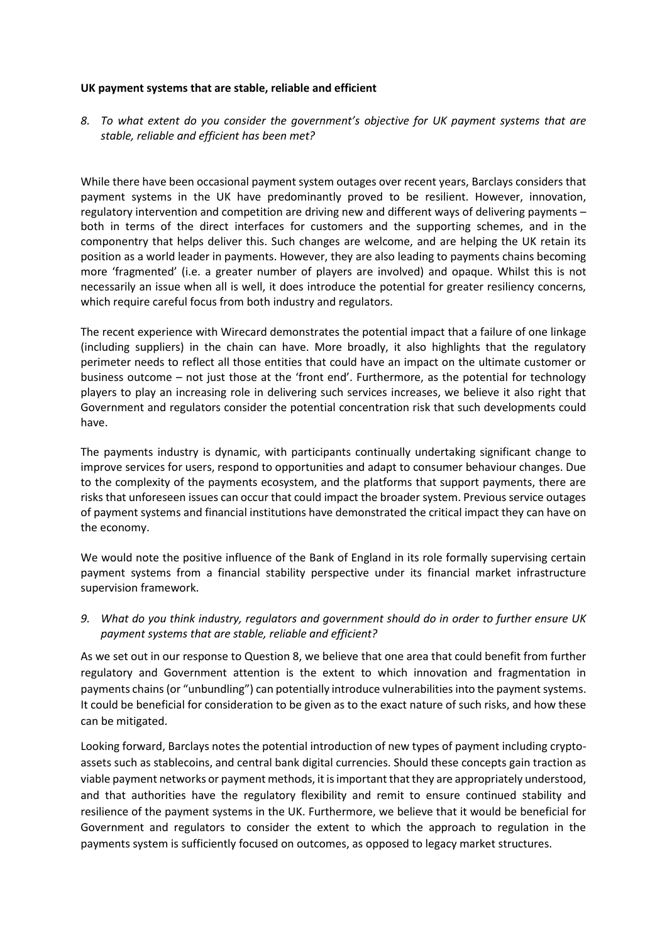#### **UK payment systems that are stable, reliable and efficient**

*8. To what extent do you consider the government's objective for UK payment systems that are stable, reliable and efficient has been met?* 

While there have been occasional payment system outages over recent years, Barclays considers that payment systems in the UK have predominantly proved to be resilient. However, innovation, regulatory intervention and competition are driving new and different ways of delivering payments – both in terms of the direct interfaces for customers and the supporting schemes, and in the componentry that helps deliver this. Such changes are welcome, and are helping the UK retain its position as a world leader in payments. However, they are also leading to payments chains becoming more 'fragmented' (i.e. a greater number of players are involved) and opaque. Whilst this is not necessarily an issue when all is well, it does introduce the potential for greater resiliency concerns, which require careful focus from both industry and regulators.

The recent experience with Wirecard demonstrates the potential impact that a failure of one linkage (including suppliers) in the chain can have. More broadly, it also highlights that the regulatory perimeter needs to reflect all those entities that could have an impact on the ultimate customer or business outcome – not just those at the 'front end'. Furthermore, as the potential for technology players to play an increasing role in delivering such services increases, we believe it also right that Government and regulators consider the potential concentration risk that such developments could have.

The payments industry is dynamic, with participants continually undertaking significant change to improve services for users, respond to opportunities and adapt to consumer behaviour changes. Due to the complexity of the payments ecosystem, and the platforms that support payments, there are risks that unforeseen issues can occur that could impact the broader system. Previous service outages of payment systems and financial institutions have demonstrated the critical impact they can have on the economy.

We would note the positive influence of the Bank of England in its role formally supervising certain payment systems from a financial stability perspective under its financial market infrastructure supervision framework.

*9. What do you think industry, regulators and government should do in order to further ensure UK payment systems that are stable, reliable and efficient?* 

As we set out in our response to Question 8, we believe that one area that could benefit from further regulatory and Government attention is the extent to which innovation and fragmentation in payments chains (or "unbundling") can potentially introduce vulnerabilities into the payment systems. It could be beneficial for consideration to be given as to the exact nature of such risks, and how these can be mitigated.

Looking forward, Barclays notes the potential introduction of new types of payment including cryptoassets such as stablecoins, and central bank digital currencies. Should these concepts gain traction as viable payment networks or payment methods, it is important that they are appropriately understood, and that authorities have the regulatory flexibility and remit to ensure continued stability and resilience of the payment systems in the UK. Furthermore, we believe that it would be beneficial for Government and regulators to consider the extent to which the approach to regulation in the payments system is sufficiently focused on outcomes, as opposed to legacy market structures.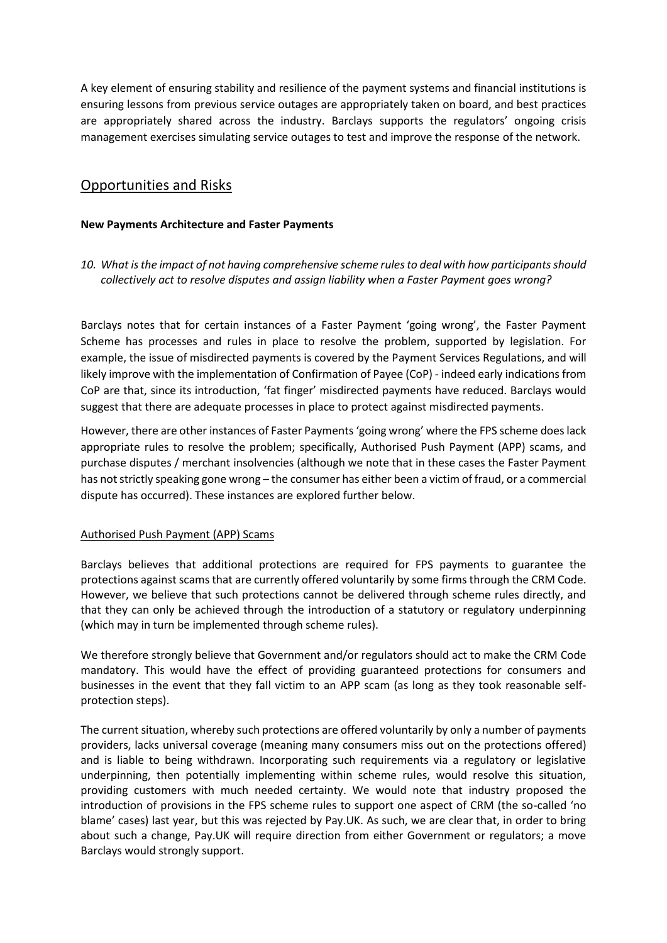A key element of ensuring stability and resilience of the payment systems and financial institutions is ensuring lessons from previous service outages are appropriately taken on board, and best practices are appropriately shared across the industry. Barclays supports the regulators' ongoing crisis management exercises simulating service outages to test and improve the response of the network.

## Opportunities and Risks

#### **New Payments Architecture and Faster Payments**

*10. What is the impact of not having comprehensive scheme rules to deal with how participants should collectively act to resolve disputes and assign liability when a Faster Payment goes wrong?* 

Barclays notes that for certain instances of a Faster Payment 'going wrong', the Faster Payment Scheme has processes and rules in place to resolve the problem, supported by legislation. For example, the issue of misdirected payments is covered by the Payment Services Regulations, and will likely improve with the implementation of Confirmation of Payee (CoP) - indeed early indications from CoP are that, since its introduction, 'fat finger' misdirected payments have reduced. Barclays would suggest that there are adequate processes in place to protect against misdirected payments.

However, there are other instances of Faster Payments 'going wrong' where the FPS scheme does lack appropriate rules to resolve the problem; specifically, Authorised Push Payment (APP) scams, and purchase disputes / merchant insolvencies (although we note that in these cases the Faster Payment has not strictly speaking gone wrong – the consumer has either been a victim of fraud, or a commercial dispute has occurred). These instances are explored further below.

#### Authorised Push Payment (APP) Scams

Barclays believes that additional protections are required for FPS payments to guarantee the protections against scams that are currently offered voluntarily by some firms through the CRM Code. However, we believe that such protections cannot be delivered through scheme rules directly, and that they can only be achieved through the introduction of a statutory or regulatory underpinning (which may in turn be implemented through scheme rules).

We therefore strongly believe that Government and/or regulators should act to make the CRM Code mandatory. This would have the effect of providing guaranteed protections for consumers and businesses in the event that they fall victim to an APP scam (as long as they took reasonable selfprotection steps).

The current situation, whereby such protections are offered voluntarily by only a number of payments providers, lacks universal coverage (meaning many consumers miss out on the protections offered) and is liable to being withdrawn. Incorporating such requirements via a regulatory or legislative underpinning, then potentially implementing within scheme rules, would resolve this situation, providing customers with much needed certainty. We would note that industry proposed the introduction of provisions in the FPS scheme rules to support one aspect of CRM (the so-called 'no blame' cases) last year, but this was rejected by Pay.UK. As such, we are clear that, in order to bring about such a change, Pay.UK will require direction from either Government or regulators; a move Barclays would strongly support.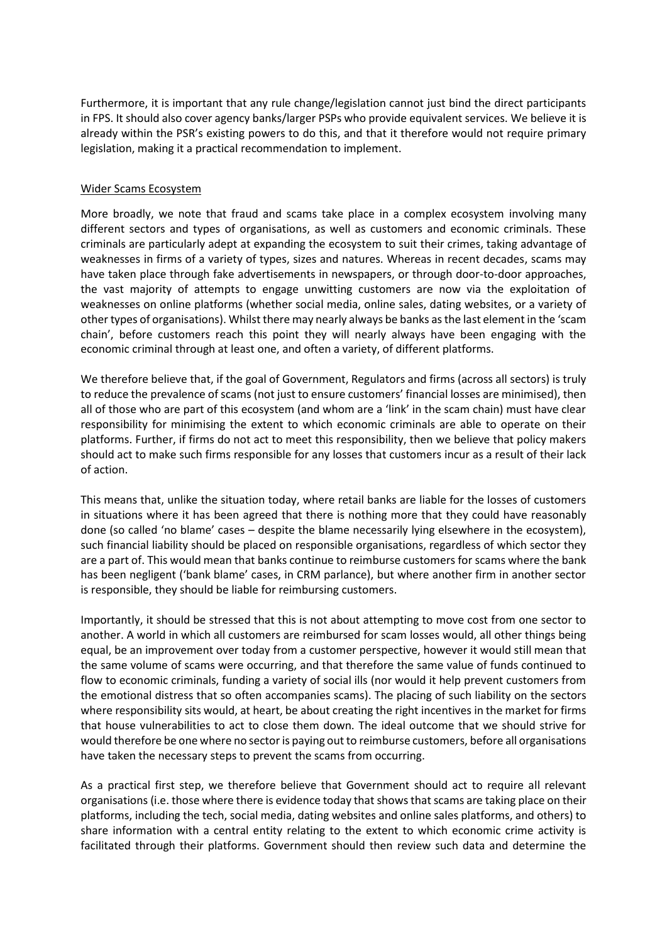Furthermore, it is important that any rule change/legislation cannot just bind the direct participants in FPS. It should also cover agency banks/larger PSPs who provide equivalent services. We believe it is already within the PSR's existing powers to do this, and that it therefore would not require primary legislation, making it a practical recommendation to implement.

#### Wider Scams Ecosystem

More broadly, we note that fraud and scams take place in a complex ecosystem involving many different sectors and types of organisations, as well as customers and economic criminals. These criminals are particularly adept at expanding the ecosystem to suit their crimes, taking advantage of weaknesses in firms of a variety of types, sizes and natures. Whereas in recent decades, scams may have taken place through fake advertisements in newspapers, or through door-to-door approaches, the vast majority of attempts to engage unwitting customers are now via the exploitation of weaknesses on online platforms (whether social media, online sales, dating websites, or a variety of other types of organisations). Whilst there may nearly always be banks as the last element in the 'scam chain', before customers reach this point they will nearly always have been engaging with the economic criminal through at least one, and often a variety, of different platforms.

We therefore believe that, if the goal of Government, Regulators and firms (across all sectors) is truly to reduce the prevalence of scams (not just to ensure customers' financial losses are minimised), then all of those who are part of this ecosystem (and whom are a 'link' in the scam chain) must have clear responsibility for minimising the extent to which economic criminals are able to operate on their platforms. Further, if firms do not act to meet this responsibility, then we believe that policy makers should act to make such firms responsible for any losses that customers incur as a result of their lack of action.

This means that, unlike the situation today, where retail banks are liable for the losses of customers in situations where it has been agreed that there is nothing more that they could have reasonably done (so called 'no blame' cases – despite the blame necessarily lying elsewhere in the ecosystem), such financial liability should be placed on responsible organisations, regardless of which sector they are a part of. This would mean that banks continue to reimburse customers for scams where the bank has been negligent ('bank blame' cases, in CRM parlance), but where another firm in another sector is responsible, they should be liable for reimbursing customers.

Importantly, it should be stressed that this is not about attempting to move cost from one sector to another. A world in which all customers are reimbursed for scam losses would, all other things being equal, be an improvement over today from a customer perspective, however it would still mean that the same volume of scams were occurring, and that therefore the same value of funds continued to flow to economic criminals, funding a variety of social ills (nor would it help prevent customers from the emotional distress that so often accompanies scams). The placing of such liability on the sectors where responsibility sits would, at heart, be about creating the right incentives in the market for firms that house vulnerabilities to act to close them down. The ideal outcome that we should strive for would therefore be one where no sector is paying out to reimburse customers, before all organisations have taken the necessary steps to prevent the scams from occurring.

As a practical first step, we therefore believe that Government should act to require all relevant organisations (i.e. those where there is evidence today that shows that scams are taking place on their platforms, including the tech, social media, dating websites and online sales platforms, and others) to share information with a central entity relating to the extent to which economic crime activity is facilitated through their platforms. Government should then review such data and determine the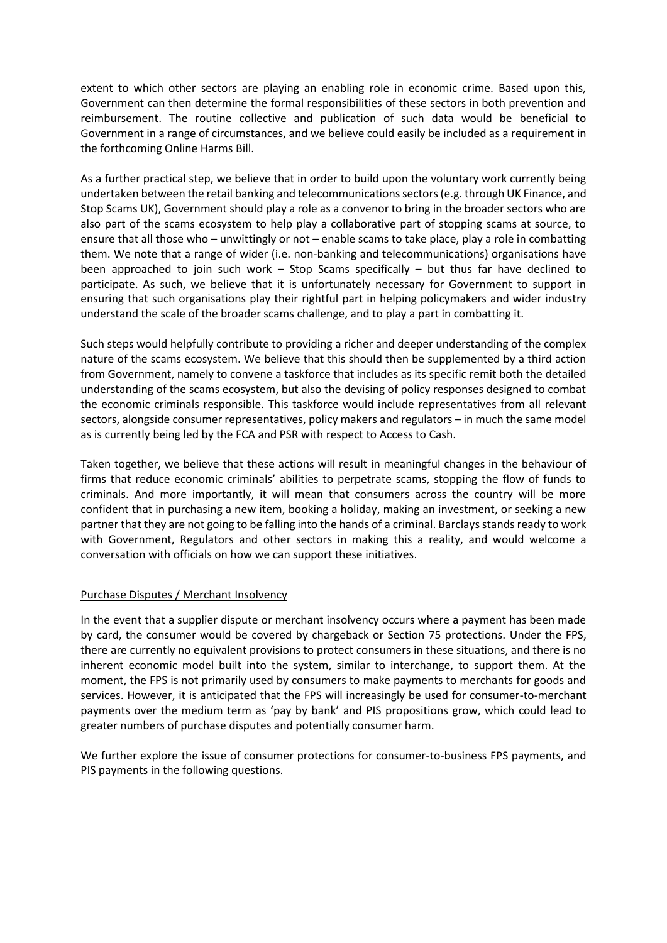extent to which other sectors are playing an enabling role in economic crime. Based upon this, Government can then determine the formal responsibilities of these sectors in both prevention and reimbursement. The routine collective and publication of such data would be beneficial to Government in a range of circumstances, and we believe could easily be included as a requirement in the forthcoming Online Harms Bill.

As a further practical step, we believe that in order to build upon the voluntary work currently being undertaken between the retail banking and telecommunications sectors (e.g. through UK Finance, and Stop Scams UK), Government should play a role as a convenor to bring in the broader sectors who are also part of the scams ecosystem to help play a collaborative part of stopping scams at source, to ensure that all those who – unwittingly or not – enable scams to take place, play a role in combatting them. We note that a range of wider (i.e. non-banking and telecommunications) organisations have been approached to join such work – Stop Scams specifically – but thus far have declined to participate. As such, we believe that it is unfortunately necessary for Government to support in ensuring that such organisations play their rightful part in helping policymakers and wider industry understand the scale of the broader scams challenge, and to play a part in combatting it.

Such steps would helpfully contribute to providing a richer and deeper understanding of the complex nature of the scams ecosystem. We believe that this should then be supplemented by a third action from Government, namely to convene a taskforce that includes as its specific remit both the detailed understanding of the scams ecosystem, but also the devising of policy responses designed to combat the economic criminals responsible. This taskforce would include representatives from all relevant sectors, alongside consumer representatives, policy makers and regulators – in much the same model as is currently being led by the FCA and PSR with respect to Access to Cash.

Taken together, we believe that these actions will result in meaningful changes in the behaviour of firms that reduce economic criminals' abilities to perpetrate scams, stopping the flow of funds to criminals. And more importantly, it will mean that consumers across the country will be more confident that in purchasing a new item, booking a holiday, making an investment, or seeking a new partner that they are not going to be falling into the hands of a criminal. Barclays stands ready to work with Government, Regulators and other sectors in making this a reality, and would welcome a conversation with officials on how we can support these initiatives.

## Purchase Disputes / Merchant Insolvency

In the event that a supplier dispute or merchant insolvency occurs where a payment has been made by card, the consumer would be covered by chargeback or Section 75 protections. Under the FPS, there are currently no equivalent provisions to protect consumers in these situations, and there is no inherent economic model built into the system, similar to interchange, to support them. At the moment, the FPS is not primarily used by consumers to make payments to merchants for goods and services. However, it is anticipated that the FPS will increasingly be used for consumer-to-merchant payments over the medium term as 'pay by bank' and PIS propositions grow, which could lead to greater numbers of purchase disputes and potentially consumer harm.

We further explore the issue of consumer protections for consumer-to-business FPS payments, and PIS payments in the following questions.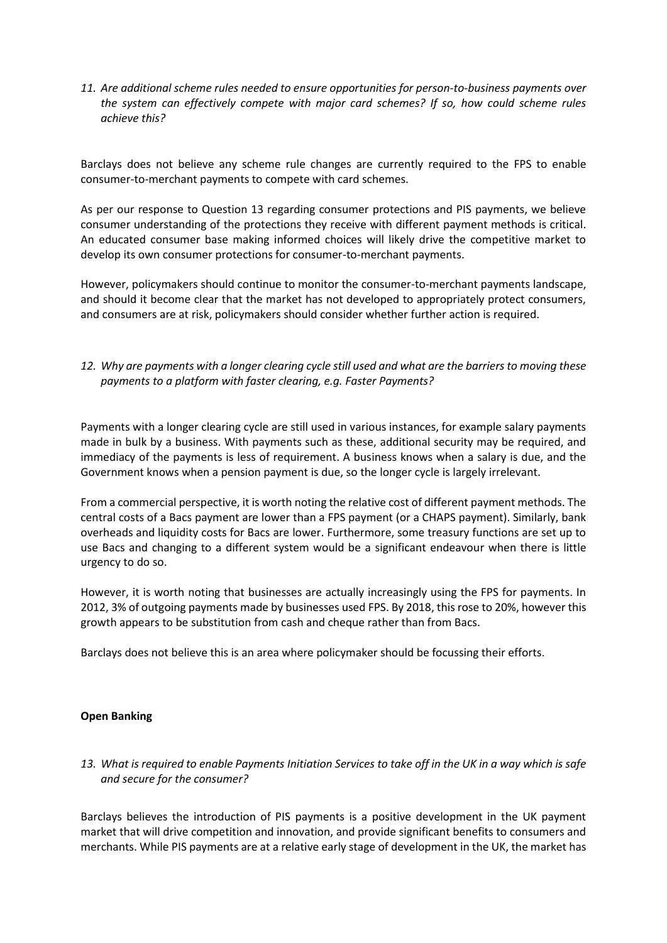*11. Are additional scheme rules needed to ensure opportunities for person-to-business payments over the system can effectively compete with major card schemes? If so, how could scheme rules achieve this?* 

Barclays does not believe any scheme rule changes are currently required to the FPS to enable consumer-to-merchant payments to compete with card schemes.

As per our response to Question 13 regarding consumer protections and PIS payments, we believe consumer understanding of the protections they receive with different payment methods is critical. An educated consumer base making informed choices will likely drive the competitive market to develop its own consumer protections for consumer-to-merchant payments.

However, policymakers should continue to monitor the consumer-to-merchant payments landscape, and should it become clear that the market has not developed to appropriately protect consumers, and consumers are at risk, policymakers should consider whether further action is required.

## *12. Why are payments with a longer clearing cycle still used and what are the barriers to moving these payments to a platform with faster clearing, e.g. Faster Payments?*

Payments with a longer clearing cycle are still used in various instances, for example salary payments made in bulk by a business. With payments such as these, additional security may be required, and immediacy of the payments is less of requirement. A business knows when a salary is due, and the Government knows when a pension payment is due, so the longer cycle is largely irrelevant.

From a commercial perspective, it is worth noting the relative cost of different payment methods. The central costs of a Bacs payment are lower than a FPS payment (or a CHAPS payment). Similarly, bank overheads and liquidity costs for Bacs are lower. Furthermore, some treasury functions are set up to use Bacs and changing to a different system would be a significant endeavour when there is little urgency to do so.

However, it is worth noting that businesses are actually increasingly using the FPS for payments. In 2012, 3% of outgoing payments made by businesses used FPS. By 2018, this rose to 20%, however this growth appears to be substitution from cash and cheque rather than from Bacs.

Barclays does not believe this is an area where policymaker should be focussing their efforts.

#### **Open Banking**

*13. What is required to enable Payments Initiation Services to take off in the UK in a way which is safe and secure for the consumer?* 

Barclays believes the introduction of PIS payments is a positive development in the UK payment market that will drive competition and innovation, and provide significant benefits to consumers and merchants. While PIS payments are at a relative early stage of development in the UK, the market has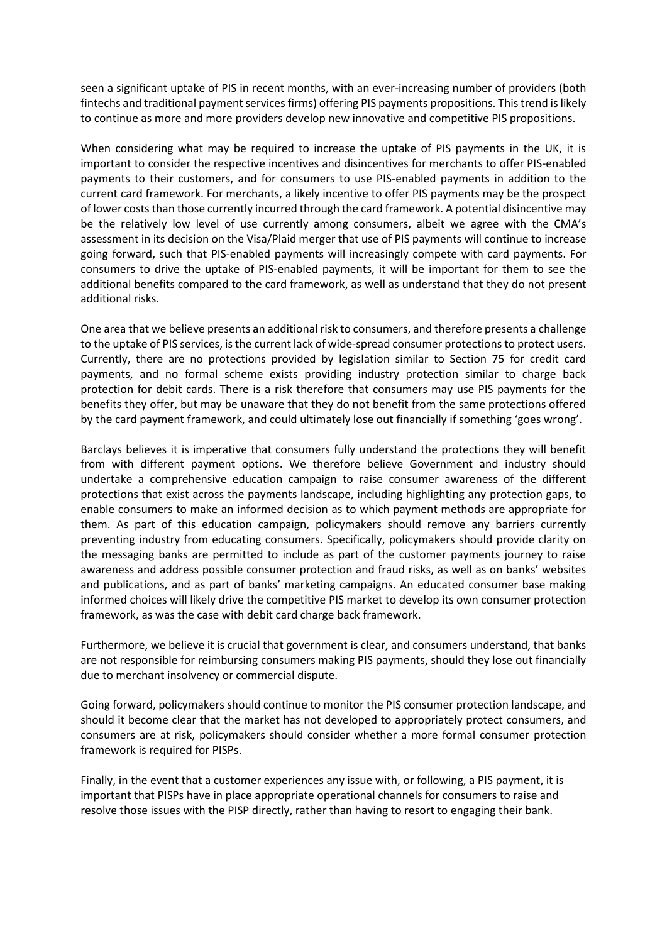seen a significant uptake of PIS in recent months, with an ever-increasing number of providers (both fintechs and traditional payment services firms) offering PIS payments propositions. This trend is likely to continue as more and more providers develop new innovative and competitive PIS propositions.

When considering what may be required to increase the uptake of PIS payments in the UK, it is important to consider the respective incentives and disincentives for merchants to offer PIS-enabled payments to their customers, and for consumers to use PIS-enabled payments in addition to the current card framework. For merchants, a likely incentive to offer PIS payments may be the prospect of lower costs than those currently incurred through the card framework. A potential disincentive may be the relatively low level of use currently among consumers, albeit we agree with the CMA's assessment in its decision on the Visa/Plaid merger that use of PIS payments will continue to increase going forward, such that PIS-enabled payments will increasingly compete with card payments. For consumers to drive the uptake of PIS-enabled payments, it will be important for them to see the additional benefits compared to the card framework, as well as understand that they do not present additional risks.

One area that we believe presents an additional risk to consumers, and therefore presents a challenge to the uptake of PIS services, is the current lack of wide-spread consumer protections to protect users. Currently, there are no protections provided by legislation similar to Section 75 for credit card payments, and no formal scheme exists providing industry protection similar to charge back protection for debit cards. There is a risk therefore that consumers may use PIS payments for the benefits they offer, but may be unaware that they do not benefit from the same protections offered by the card payment framework, and could ultimately lose out financially if something 'goes wrong'.

Barclays believes it is imperative that consumers fully understand the protections they will benefit from with different payment options. We therefore believe Government and industry should undertake a comprehensive education campaign to raise consumer awareness of the different protections that exist across the payments landscape, including highlighting any protection gaps, to enable consumers to make an informed decision as to which payment methods are appropriate for them. As part of this education campaign, policymakers should remove any barriers currently preventing industry from educating consumers. Specifically, policymakers should provide clarity on the messaging banks are permitted to include as part of the customer payments journey to raise awareness and address possible consumer protection and fraud risks, as well as on banks' websites and publications, and as part of banks' marketing campaigns. An educated consumer base making informed choices will likely drive the competitive PIS market to develop its own consumer protection framework, as was the case with debit card charge back framework.

Furthermore, we believe it is crucial that government is clear, and consumers understand, that banks are not responsible for reimbursing consumers making PIS payments, should they lose out financially due to merchant insolvency or commercial dispute.

Going forward, policymakers should continue to monitor the PIS consumer protection landscape, and should it become clear that the market has not developed to appropriately protect consumers, and consumers are at risk, policymakers should consider whether a more formal consumer protection framework is required for PISPs.

Finally, in the event that a customer experiences any issue with, or following, a PIS payment, it is important that PISPs have in place appropriate operational channels for consumers to raise and resolve those issues with the PISP directly, rather than having to resort to engaging their bank.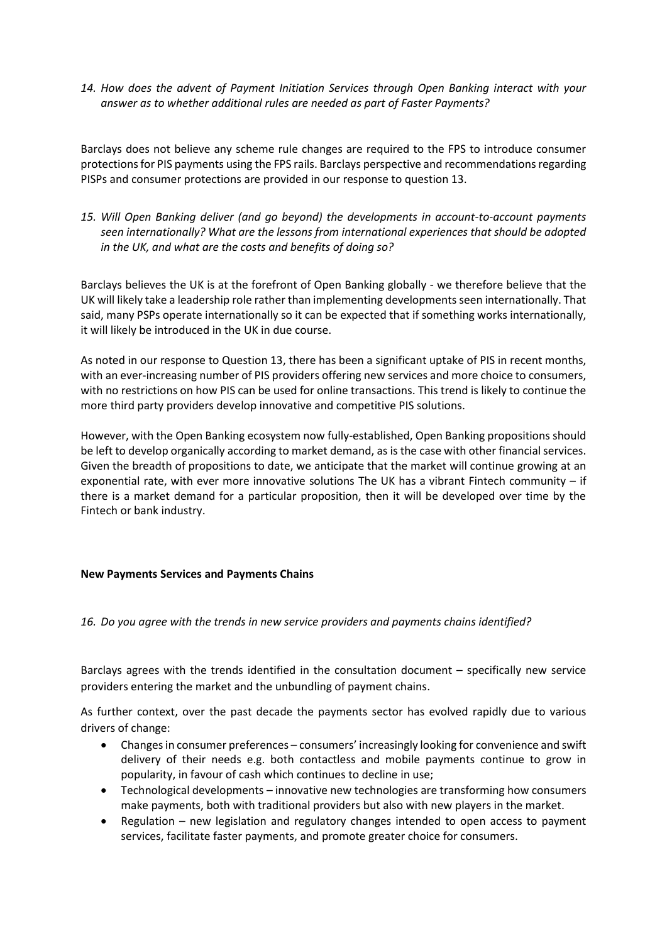*14. How does the advent of Payment Initiation Services through Open Banking interact with your answer as to whether additional rules are needed as part of Faster Payments?* 

Barclays does not believe any scheme rule changes are required to the FPS to introduce consumer protections for PIS payments using the FPS rails. Barclays perspective and recommendations regarding PISPs and consumer protections are provided in our response to question 13.

*15. Will Open Banking deliver (and go beyond) the developments in account-to-account payments seen internationally? What are the lessons from international experiences that should be adopted in the UK, and what are the costs and benefits of doing so?* 

Barclays believes the UK is at the forefront of Open Banking globally - we therefore believe that the UK will likely take a leadership role rather than implementing developments seen internationally. That said, many PSPs operate internationally so it can be expected that if something works internationally, it will likely be introduced in the UK in due course.

As noted in our response to Question 13, there has been a significant uptake of PIS in recent months, with an ever-increasing number of PIS providers offering new services and more choice to consumers, with no restrictions on how PIS can be used for online transactions. This trend is likely to continue the more third party providers develop innovative and competitive PIS solutions.

However, with the Open Banking ecosystem now fully-established, Open Banking propositions should be left to develop organically according to market demand, as is the case with other financial services. Given the breadth of propositions to date, we anticipate that the market will continue growing at an exponential rate, with ever more innovative solutions The UK has a vibrant Fintech community – if there is a market demand for a particular proposition, then it will be developed over time by the Fintech or bank industry.

#### **New Payments Services and Payments Chains**

#### *16. Do you agree with the trends in new service providers and payments chains identified?*

Barclays agrees with the trends identified in the consultation document – specifically new service providers entering the market and the unbundling of payment chains.

As further context, over the past decade the payments sector has evolved rapidly due to various drivers of change:

- Changes in consumer preferences consumers' increasingly looking for convenience and swift delivery of their needs e.g. both contactless and mobile payments continue to grow in popularity, in favour of cash which continues to decline in use;
- Technological developments innovative new technologies are transforming how consumers make payments, both with traditional providers but also with new players in the market.
- Regulation new legislation and regulatory changes intended to open access to payment services, facilitate faster payments, and promote greater choice for consumers.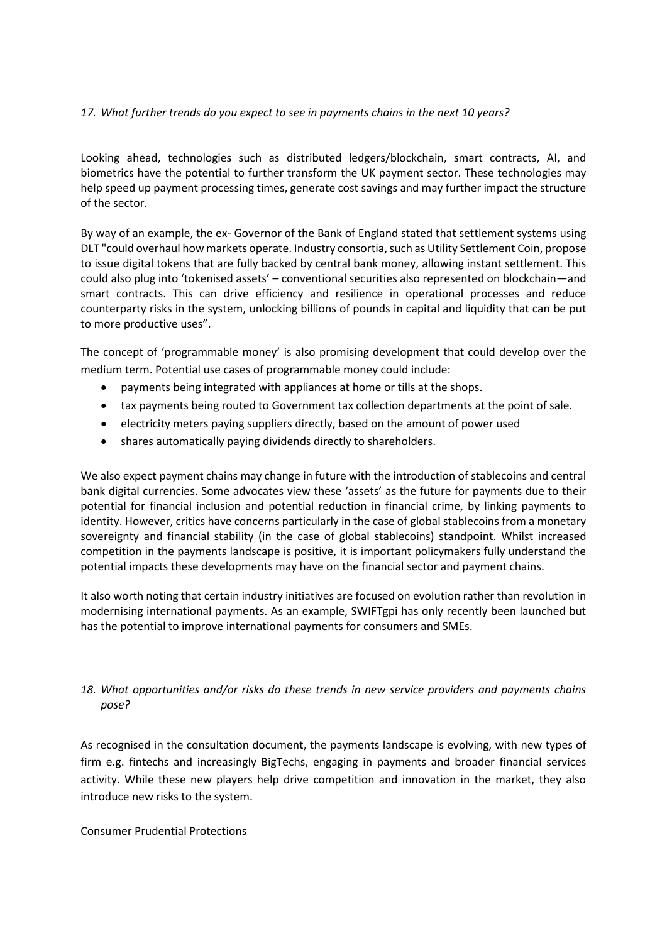### *17. What further trends do you expect to see in payments chains in the next 10 years?*

Looking ahead, technologies such as distributed ledgers/blockchain, smart contracts, AI, and biometrics have the potential to further transform the UK payment sector. These technologies may help speed up payment processing times, generate cost savings and may further impact the structure of the sector.

By way of an example, the ex- Governor of the Bank of England stated that settlement systems using DLT "could overhaul how markets operate. Industry consortia, such as Utility Settlement Coin, propose to issue digital tokens that are fully backed by central bank money, allowing instant settlement. This could also plug into 'tokenised assets' – conventional securities also represented on blockchain—and smart contracts. This can drive efficiency and resilience in operational processes and reduce counterparty risks in the system, unlocking billions of pounds in capital and liquidity that can be put to more productive uses".

The concept of 'programmable money' is also promising development that could develop over the medium term. Potential use cases of programmable money could include:

- payments being integrated with appliances at home or tills at the shops.
- tax payments being routed to Government tax collection departments at the point of sale.
- electricity meters paying suppliers directly, based on the amount of power used
- shares automatically paying dividends directly to shareholders.

We also expect payment chains may change in future with the introduction of stablecoins and central bank digital currencies. Some advocates view these 'assets' as the future for payments due to their potential for financial inclusion and potential reduction in financial crime, by linking payments to identity. However, critics have concerns particularly in the case of global stablecoins from a monetary sovereignty and financial stability (in the case of global stablecoins) standpoint. Whilst increased competition in the payments landscape is positive, it is important policymakers fully understand the potential impacts these developments may have on the financial sector and payment chains.

It also worth noting that certain industry initiatives are focused on evolution rather than revolution in modernising international payments. As an example, SWIFTgpi has only recently been launched but has the potential to improve international payments for consumers and SMEs.

## *18. What opportunities and/or risks do these trends in new service providers and payments chains pose?*

As recognised in the consultation document, the payments landscape is evolving, with new types of firm e.g. fintechs and increasingly BigTechs, engaging in payments and broader financial services activity. While these new players help drive competition and innovation in the market, they also introduce new risks to the system.

#### Consumer Prudential Protections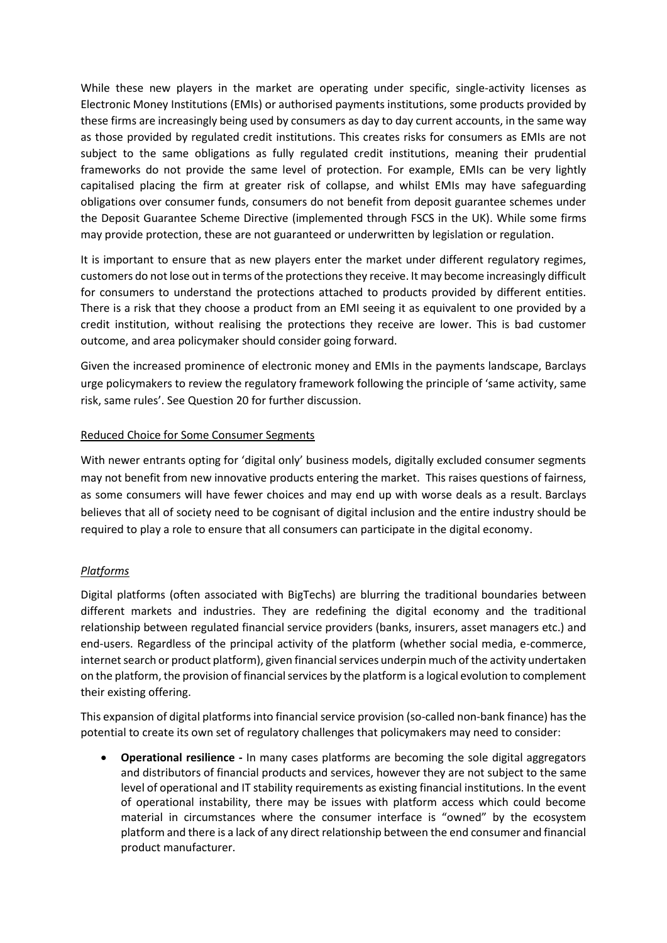While these new players in the market are operating under specific, single-activity licenses as Electronic Money Institutions (EMIs) or authorised payments institutions, some products provided by these firms are increasingly being used by consumers as day to day current accounts, in the same way as those provided by regulated credit institutions. This creates risks for consumers as EMIs are not subject to the same obligations as fully regulated credit institutions, meaning their prudential frameworks do not provide the same level of protection. For example, EMIs can be very lightly capitalised placing the firm at greater risk of collapse, and whilst EMIs may have safeguarding obligations over consumer funds, consumers do not benefit from deposit guarantee schemes under the Deposit Guarantee Scheme Directive (implemented through FSCS in the UK). While some firms may provide protection, these are not guaranteed or underwritten by legislation or regulation.

It is important to ensure that as new players enter the market under different regulatory regimes, customers do not lose out in terms of the protections they receive. It may become increasingly difficult for consumers to understand the protections attached to products provided by different entities. There is a risk that they choose a product from an EMI seeing it as equivalent to one provided by a credit institution, without realising the protections they receive are lower. This is bad customer outcome, and area policymaker should consider going forward.

Given the increased prominence of electronic money and EMIs in the payments landscape, Barclays urge policymakers to review the regulatory framework following the principle of 'same activity, same risk, same rules'. See Question 20 for further discussion.

### Reduced Choice for Some Consumer Segments

With newer entrants opting for 'digital only' business models, digitally excluded consumer segments may not benefit from new innovative products entering the market. This raises questions of fairness, as some consumers will have fewer choices and may end up with worse deals as a result. Barclays believes that all of society need to be cognisant of digital inclusion and the entire industry should be required to play a role to ensure that all consumers can participate in the digital economy.

## *Platforms*

Digital platforms (often associated with BigTechs) are blurring the traditional boundaries between different markets and industries. They are redefining the digital economy and the traditional relationship between regulated financial service providers (banks, insurers, asset managers etc.) and end-users. Regardless of the principal activity of the platform (whether social media, e-commerce, internet search or product platform), given financial services underpin much of the activity undertaken on the platform, the provision of financial services by the platform is a logical evolution to complement their existing offering.

This expansion of digital platforms into financial service provision (so-called non-bank finance) has the potential to create its own set of regulatory challenges that policymakers may need to consider:

 **Operational resilience -** In many cases platforms are becoming the sole digital aggregators and distributors of financial products and services, however they are not subject to the same level of operational and IT stability requirements as existing financial institutions. In the event of operational instability, there may be issues with platform access which could become material in circumstances where the consumer interface is "owned" by the ecosystem platform and there is a lack of any direct relationship between the end consumer and financial product manufacturer.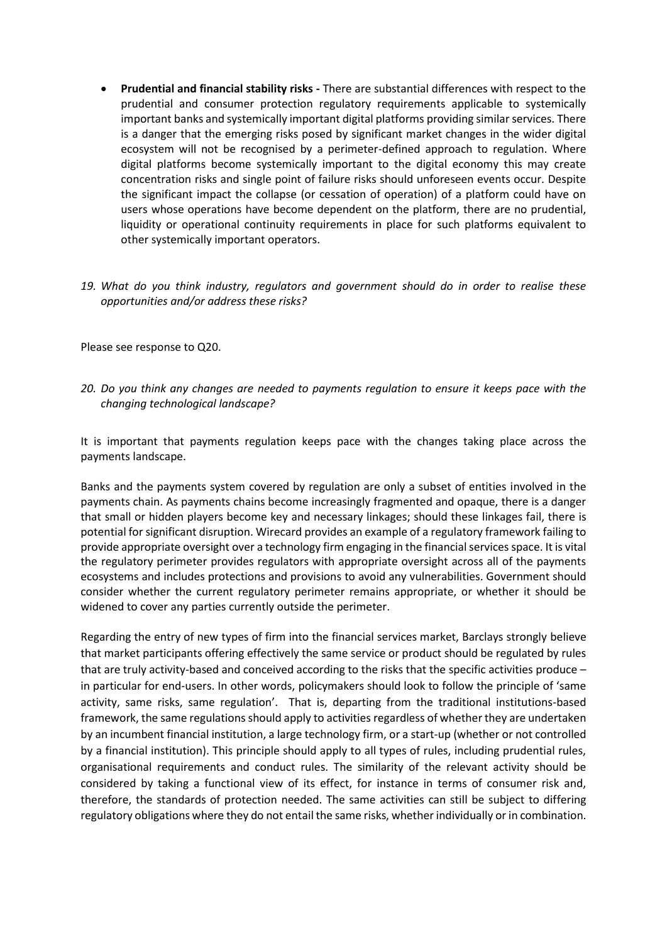- **Prudential and financial stability risks -** There are substantial differences with respect to the prudential and consumer protection regulatory requirements applicable to systemically important banks and systemically important digital platforms providing similar services. There is a danger that the emerging risks posed by significant market changes in the wider digital ecosystem will not be recognised by a perimeter-defined approach to regulation. Where digital platforms become systemically important to the digital economy this may create concentration risks and single point of failure risks should unforeseen events occur. Despite the significant impact the collapse (or cessation of operation) of a platform could have on users whose operations have become dependent on the platform, there are no prudential, liquidity or operational continuity requirements in place for such platforms equivalent to other systemically important operators.
- *19. What do you think industry, regulators and government should do in order to realise these opportunities and/or address these risks?*

Please see response to Q20.

*20. Do you think any changes are needed to payments regulation to ensure it keeps pace with the changing technological landscape?* 

It is important that payments regulation keeps pace with the changes taking place across the payments landscape.

Banks and the payments system covered by regulation are only a subset of entities involved in the payments chain. As payments chains become increasingly fragmented and opaque, there is a danger that small or hidden players become key and necessary linkages; should these linkages fail, there is potential for significant disruption. Wirecard provides an example of a regulatory framework failing to provide appropriate oversight over a technology firm engaging in the financial services space. It is vital the regulatory perimeter provides regulators with appropriate oversight across all of the payments ecosystems and includes protections and provisions to avoid any vulnerabilities. Government should consider whether the current regulatory perimeter remains appropriate, or whether it should be widened to cover any parties currently outside the perimeter.

Regarding the entry of new types of firm into the financial services market, Barclays strongly believe that market participants offering effectively the same service or product should be regulated by rules that are truly activity-based and conceived according to the risks that the specific activities produce – in particular for end-users. In other words, policymakers should look to follow the principle of 'same activity, same risks, same regulation'. That is, departing from the traditional institutions-based framework, the same regulations should apply to activities regardless of whether they are undertaken by an incumbent financial institution, a large technology firm, or a start-up (whether or not controlled by a financial institution). This principle should apply to all types of rules, including prudential rules, organisational requirements and conduct rules. The similarity of the relevant activity should be considered by taking a functional view of its effect, for instance in terms of consumer risk and, therefore, the standards of protection needed. The same activities can still be subject to differing regulatory obligations where they do not entail the same risks, whether individually or in combination.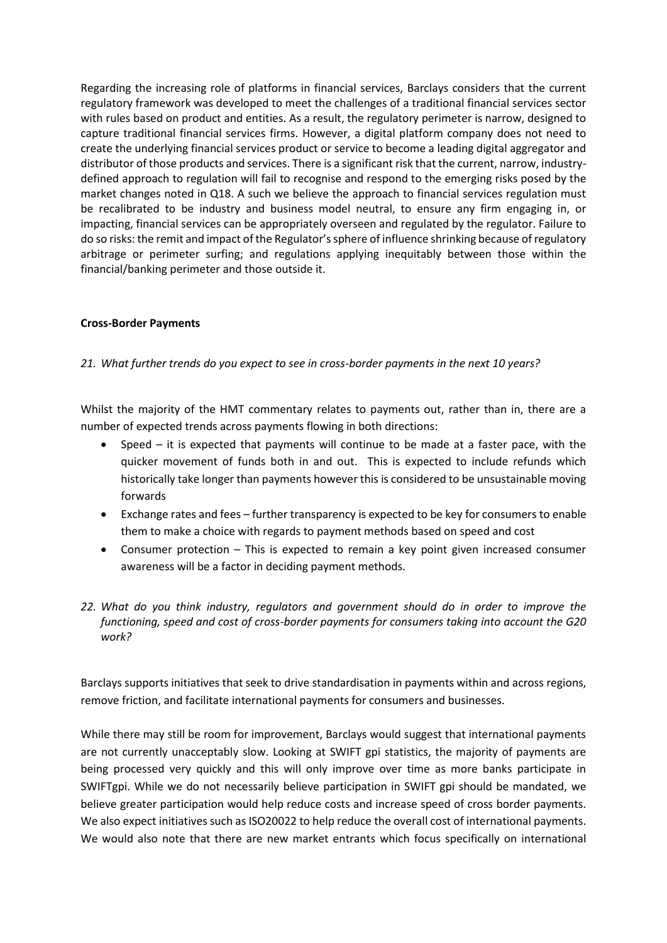Regarding the increasing role of platforms in financial services, Barclays considers that the current regulatory framework was developed to meet the challenges of a traditional financial services sector with rules based on product and entities. As a result, the regulatory perimeter is narrow, designed to capture traditional financial services firms. However, a digital platform company does not need to create the underlying financial services product or service to become a leading digital aggregator and distributor of those products and services. There is a significant risk that the current, narrow, industrydefined approach to regulation will fail to recognise and respond to the emerging risks posed by the market changes noted in Q18. A such we believe the approach to financial services regulation must be recalibrated to be industry and business model neutral, to ensure any firm engaging in, or impacting, financial services can be appropriately overseen and regulated by the regulator. Failure to do so risks: the remit and impact of the Regulator's sphere of influence shrinking because of regulatory arbitrage or perimeter surfing; and regulations applying inequitably between those within the financial/banking perimeter and those outside it.

### **Cross-Border Payments**

### *21. What further trends do you expect to see in cross-border payments in the next 10 years?*

Whilst the majority of the HMT commentary relates to payments out, rather than in, there are a number of expected trends across payments flowing in both directions:

- Speed it is expected that payments will continue to be made at a faster pace, with the quicker movement of funds both in and out. This is expected to include refunds which historically take longer than payments however this is considered to be unsustainable moving forwards
- Exchange rates and fees further transparency is expected to be key for consumers to enable them to make a choice with regards to payment methods based on speed and cost
- Consumer protection This is expected to remain a key point given increased consumer awareness will be a factor in deciding payment methods.
- *22. What do you think industry, regulators and government should do in order to improve the functioning, speed and cost of cross-border payments for consumers taking into account the G20 work?*

Barclays supports initiatives that seek to drive standardisation in payments within and across regions, remove friction, and facilitate international payments for consumers and businesses.

While there may still be room for improvement, Barclays would suggest that international payments are not currently unacceptably slow. Looking at SWIFT gpi statistics, the majority of payments are being processed very quickly and this will only improve over time as more banks participate in SWIFTgpi. While we do not necessarily believe participation in SWIFT gpi should be mandated, we believe greater participation would help reduce costs and increase speed of cross border payments. We also expect initiatives such as ISO20022 to help reduce the overall cost of international payments. We would also note that there are new market entrants which focus specifically on international